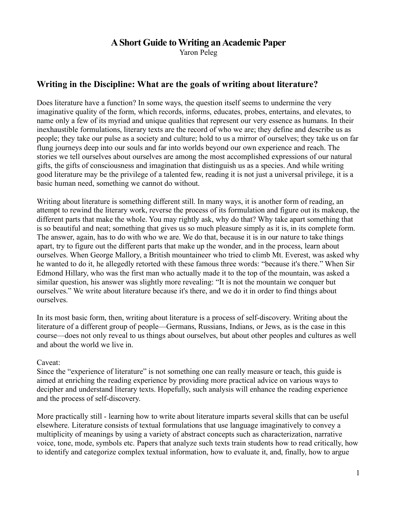# **A Short Guide to Writing an Academic Paper**

Yaron Peleg

# **Writing in the Discipline: What are the goals of writing about literature?**

Does literature have a function? In some ways, the question itself seems to undermine the very imaginative quality of the form, which records, informs, educates, probes, entertains, and elevates, to name only a few of its myriad and unique qualities that represent our very essence as humans. In their inexhaustible formulations, literary texts are the record of who we are; they define and describe us as people; they take our pulse as a society and culture; hold to us a mirror of ourselves; they take us on far flung journeys deep into our souls and far into worlds beyond our own experience and reach. The stories we tell ourselves about ourselves are among the most accomplished expressions of our natural gifts, the gifts of consciousness and imagination that distinguish us as a species. And while writing good literature may be the privilege of a talented few, reading it is not just a universal privilege, it is a basic human need, something we cannot do without.

Writing about literature is something different still. In many ways, it is another form of reading, an attempt to rewind the literary work, reverse the process of its formulation and figure out its makeup, the different parts that make the whole. You may rightly ask, why do that? Why take apart something that is so beautiful and neat; something that gives us so much pleasure simply as it is, in its complete form. The answer, again, has to do with who we are. We do that, because it is in our nature to take things apart, try to figure out the different parts that make up the wonder, and in the process, learn about ourselves. When George Mallory, a British mountaineer who tried to climb Mt. Everest, was asked why he wanted to do it, he allegedly retorted with these famous three words: "because it's there." When Sir Edmond Hillary, who was the first man who actually made it to the top of the mountain, was asked a similar question, his answer was slightly more revealing: "It is not the mountain we conquer but ourselves." We write about literature because it's there, and we do it in order to find things about ourselves.

In its most basic form, then, writing about literature is a process of self-discovery. Writing about the literature of a different group of people—Germans, Russians, Indians, or Jews, as is the case in this course—does not only reveal to us things about ourselves, but about other peoples and cultures as well and about the world we live in.

#### Caveat:

Since the "experience of literature" is not something one can really measure or teach, this guide is aimed at enriching the reading experience by providing more practical advice on various ways to decipher and understand literary texts. Hopefully, such analysis will enhance the reading experience and the process of self-discovery.

More practically still - learning how to write about literature imparts several skills that can be useful elsewhere. Literature consists of textual formulations that use language imaginatively to convey a multiplicity of meanings by using a variety of abstract concepts such as characterization, narrative voice, tone, mode, symbols etc. Papers that analyze such texts train students how to read critically, how to identify and categorize complex textual information, how to evaluate it, and, finally, how to argue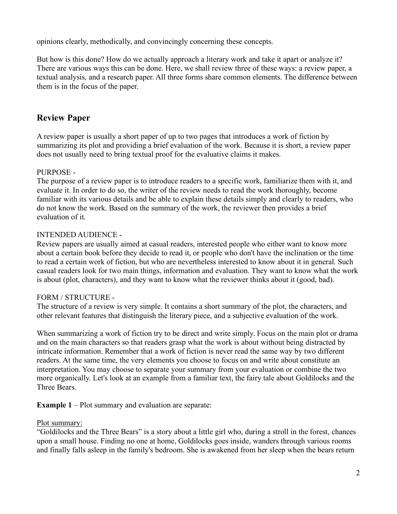opinions clearly, methodically, and convincingly concerning these concepts.

But how is this done? How do we actually approach a literary work and take it apart or analyze it? There are various ways this can be done. Here, we shall review three of these ways: a review paper, a textual analysis, and a research paper. All three forms share common elements. The difference between them is in the focus of the paper.

# **Review Paper**

A review paper is usually a short paper of up to two pages that introduces a work of fiction by summarizing its plot and providing a brief evaluation of the work. Because it is short, a review paper does not usually need to bring textual proof for the evaluative claims it makes.

# PURPOSE -

The purpose of a review paper is to introduce readers to a specific work, familiarize them with it, and evaluate it. In order to do so, the writer of the review needs to read the work thoroughly, become familiar with its various details and be able to explain these details simply and clearly to readers, who do not know the work. Based on the summary of the work, the reviewer then provides a brief evaluation of it.

# INTENDED AUDIENCE -

Review papers are usually aimed at casual readers, interested people who either want to know more about a certain book before they decide to read it, or people who don't have the inclination or the time to read a certain work of fiction, but who are nevertheless interested to know about it in general. Such casual readers look for two main things, information and evaluation. They want to know what the work is about (plot, characters), and they want to know what the reviewer thinks about it (good, bad).

## FORM / STRUCTURE -

The structure of a review is very simple. It contains a short summary of the plot, the characters, and other relevant features that distinguish the literary piece, and a subjective evaluation of the work.

When summarizing a work of fiction try to be direct and write simply. Focus on the main plot or drama and on the main characters so that readers grasp what the work is about without being distracted by intricate information. Remember that a work of fiction is never read the same way by two different readers. At the same time, the very elements you choose to focus on and write about constitute an interpretation. You may choose to separate your summary from your evaluation or combine the two more organically. Let's look at an example from a familiar text, the fairy tale about Goldilocks and the Three Bears.

**Example 1** – Plot summary and evaluation are separate:

## Plot summary:

"Goldilocks and the Three Bears" is a story about a little girl who, during a stroll in the forest, chances upon a small house. Finding no one at home, Goldilocks goes inside, wanders through various rooms and finally falls asleep in the family's bedroom. She is awakened from her sleep when the bears return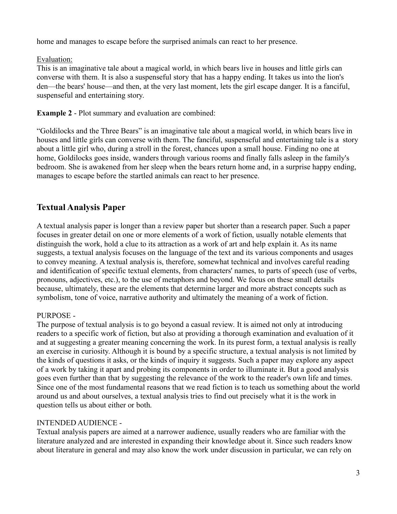home and manages to escape before the surprised animals can react to her presence.

# Evaluation:

This is an imaginative tale about a magical world, in which bears live in houses and little girls can converse with them. It is also a suspenseful story that has a happy ending. It takes us into the lion's den—the bears' house—and then, at the very last moment, lets the girl escape danger. It is a fanciful, suspenseful and entertaining story.

**Example 2** - Plot summary and evaluation are combined:

"Goldilocks and the Three Bears" is an imaginative tale about a magical world, in which bears live in houses and little girls can converse with them. The fanciful, suspenseful and entertaining tale is a story about a little girl who, during a stroll in the forest, chances upon a small house. Finding no one at home, Goldilocks goes inside, wanders through various rooms and finally falls asleep in the family's bedroom. She is awakened from her sleep when the bears return home and, in a surprise happy ending, manages to escape before the startled animals can react to her presence.

# **Textual Analysis Paper**

A textual analysis paper is longer than a review paper but shorter than a research paper. Such a paper focuses in greater detail on one or more elements of a work of fiction, usually notable elements that distinguish the work, hold a clue to its attraction as a work of art and help explain it. As its name suggests, a textual analysis focuses on the language of the text and its various components and usages to convey meaning. A textual analysis is, therefore, somewhat technical and involves careful reading and identification of specific textual elements, from characters' names, to parts of speech (use of verbs, pronouns, adjectives, etc.), to the use of metaphors and beyond. We focus on these small details because, ultimately, these are the elements that determine larger and more abstract concepts such as symbolism, tone of voice, narrative authority and ultimately the meaning of a work of fiction.

# PURPOSE -

The purpose of textual analysis is to go beyond a casual review. It is aimed not only at introducing readers to a specific work of fiction, but also at providing a thorough examination and evaluation of it and at suggesting a greater meaning concerning the work. In its purest form, a textual analysis is really an exercise in curiosity. Although it is bound by a specific structure, a textual analysis is not limited by the kinds of questions it asks, or the kinds of inquiry it suggests. Such a paper may explore any aspect of a work by taking it apart and probing its components in order to illuminate it. But a good analysis goes even further than that by suggesting the relevance of the work to the reader's own life and times. Since one of the most fundamental reasons that we read fiction is to teach us something about the world around us and about ourselves, a textual analysis tries to find out precisely what it is the work in question tells us about either or both.

# INTENDED AUDIENCE -

Textual analysis papers are aimed at a narrower audience, usually readers who are familiar with the literature analyzed and are interested in expanding their knowledge about it. Since such readers know about literature in general and may also know the work under discussion in particular, we can rely on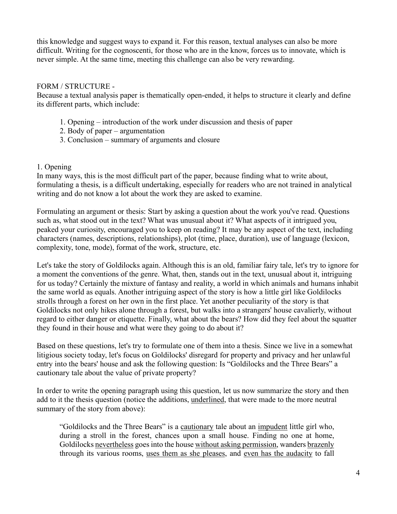this knowledge and suggest ways to expand it. For this reason, textual analyses can also be more difficult. Writing for the cognoscenti, for those who are in the know, forces us to innovate, which is never simple. At the same time, meeting this challenge can also be very rewarding.

#### FORM / STRUCTURE -

Because a textual analysis paper is thematically open-ended, it helps to structure it clearly and define its different parts, which include:

- 1. Opening introduction of the work under discussion and thesis of paper
- 2. Body of paper argumentation
- 3. Conclusion summary of arguments and closure

#### 1. Opening

In many ways, this is the most difficult part of the paper, because finding what to write about, formulating a thesis, is a difficult undertaking, especially for readers who are not trained in analytical writing and do not know a lot about the work they are asked to examine.

Formulating an argument or thesis: Start by asking a question about the work you've read. Questions such as, what stood out in the text? What was unusual about it? What aspects of it intrigued you, peaked your curiosity, encouraged you to keep on reading? It may be any aspect of the text, including characters (names, descriptions, relationships), plot (time, place, duration), use of language (lexicon, complexity, tone, mode), format of the work, structure, etc.

Let's take the story of Goldilocks again. Although this is an old, familiar fairy tale, let's try to ignore for a moment the conventions of the genre. What, then, stands out in the text, unusual about it, intriguing for us today? Certainly the mixture of fantasy and reality, a world in which animals and humans inhabit the same world as equals. Another intriguing aspect of the story is how a little girl like Goldilocks strolls through a forest on her own in the first place. Yet another peculiarity of the story is that Goldilocks not only hikes alone through a forest, but walks into a strangers' house cavalierly, without regard to either danger or etiquette. Finally, what about the bears? How did they feel about the squatter they found in their house and what were they going to do about it?

Based on these questions, let's try to formulate one of them into a thesis. Since we live in a somewhat litigious society today, let's focus on Goldilocks' disregard for property and privacy and her unlawful entry into the bears' house and ask the following question: Is "Goldilocks and the Three Bears" a cautionary tale about the value of private property?

In order to write the opening paragraph using this question, let us now summarize the story and then add to it the thesis question (notice the additions, underlined, that were made to the more neutral summary of the story from above):

"Goldilocks and the Three Bears" is a cautionary tale about an impudent little girl who, during a stroll in the forest, chances upon a small house. Finding no one at home, Goldilocks nevertheless goes into the house without asking permission, wanders brazenly through its various rooms, uses them as she pleases, and even has the audacity to fall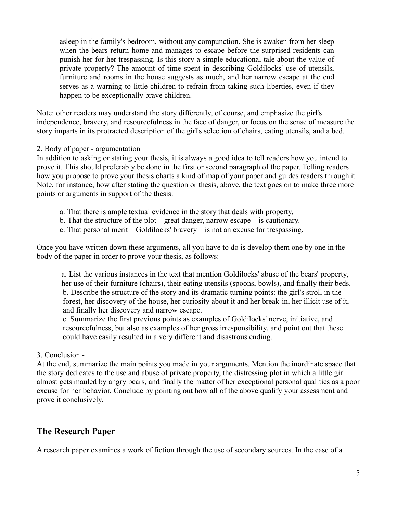asleep in the family's bedroom, without any compunction. She is awaken from her sleep when the bears return home and manages to escape before the surprised residents can punish her for her trespassing. Is this story a simple educational tale about the value of private property? The amount of time spent in describing Goldilocks' use of utensils, furniture and rooms in the house suggests as much, and her narrow escape at the end serves as a warning to little children to refrain from taking such liberties, even if they happen to be exceptionally brave children.

Note: other readers may understand the story differently, of course, and emphasize the girl's independence, bravery, and resourcefulness in the face of danger, or focus on the sense of measure the story imparts in its protracted description of the girl's selection of chairs, eating utensils, and a bed.

#### 2. Body of paper - argumentation

In addition to asking or stating your thesis, it is always a good idea to tell readers how you intend to prove it. This should preferably be done in the first or second paragraph of the paper. Telling readers how you propose to prove your thesis charts a kind of map of your paper and guides readers through it. Note, for instance, how after stating the question or thesis, above, the text goes on to make three more points or arguments in support of the thesis:

- a. That there is ample textual evidence in the story that deals with property.
- b. That the structure of the plot—great danger, narrow escape—is cautionary.
- c. That personal merit—Goldilocks' bravery—is not an excuse for trespassing.

Once you have written down these arguments, all you have to do is develop them one by one in the body of the paper in order to prove your thesis, as follows:

a. List the various instances in the text that mention Goldilocks' abuse of the bears' property, her use of their furniture (chairs), their eating utensils (spoons, bowls), and finally their beds. b. Describe the structure of the story and its dramatic turning points: the girl's stroll in the forest, her discovery of the house, her curiosity about it and her break-in, her illicit use of it, and finally her discovery and narrow escape.

c. Summarize the first previous points as examples of Goldilocks' nerve, initiative, and resourcefulness, but also as examples of her gross irresponsibility, and point out that these could have easily resulted in a very different and disastrous ending.

#### 3. Conclusion -

At the end, summarize the main points you made in your arguments. Mention the inordinate space that the story dedicates to the use and abuse of private property, the distressing plot in which a little girl almost gets mauled by angry bears, and finally the matter of her exceptional personal qualities as a poor excuse for her behavior. Conclude by pointing out how all of the above qualify your assessment and prove it conclusively.

# **The Research Paper**

A research paper examines a work of fiction through the use of secondary sources. In the case of a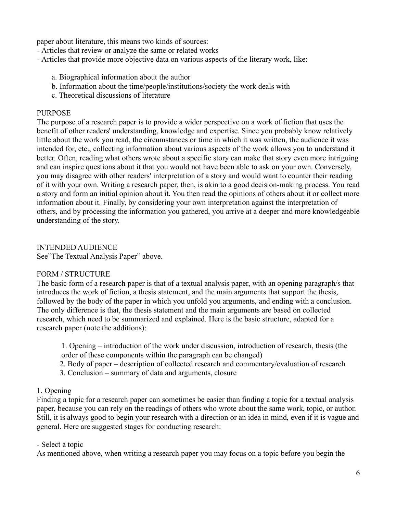paper about literature, this means two kinds of sources:

- Articles that review or analyze the same or related works

- Articles that provide more objective data on various aspects of the literary work, like:
	- a. Biographical information about the author
	- b. Information about the time/people/institutions/society the work deals with
	- c. Theoretical discussions of literature

#### **PURPOSE**

The purpose of a research paper is to provide a wider perspective on a work of fiction that uses the benefit of other readers' understanding, knowledge and expertise. Since you probably know relatively little about the work you read, the circumstances or time in which it was written, the audience it was intended for, etc., collecting information about various aspects of the work allows you to understand it better. Often, reading what others wrote about a specific story can make that story even more intriguing and can inspire questions about it that you would not have been able to ask on your own. Conversely, you may disagree with other readers' interpretation of a story and would want to counter their reading of it with your own. Writing a research paper, then, is akin to a good decision-making process. You read a story and form an initial opinion about it. You then read the opinions of others about it or collect more information about it. Finally, by considering your own interpretation against the interpretation of others, and by processing the information you gathered, you arrive at a deeper and more knowledgeable understanding of the story.

INTENDED AUDIENCE See"The Textual Analysis Paper" above.

#### FORM / STRUCTURE

The basic form of a research paper is that of a textual analysis paper, with an opening paragraph/s that introduces the work of fiction, a thesis statement, and the main arguments that support the thesis, followed by the body of the paper in which you unfold you arguments, and ending with a conclusion. The only difference is that, the thesis statement and the main arguments are based on collected research, which need to be summarized and explained. Here is the basic structure, adapted for a research paper (note the additions):

1. Opening – introduction of the work under discussion, introduction of research, thesis (the order of these components within the paragraph can be changed)

- 2. Body of paper description of collected research and commentary/evaluation of research
- 3. Conclusion summary of data and arguments, closure

## 1. Opening

Finding a topic for a research paper can sometimes be easier than finding a topic for a textual analysis paper, because you can rely on the readings of others who wrote about the same work, topic, or author. Still, it is always good to begin your research with a direction or an idea in mind, even if it is vague and general. Here are suggested stages for conducting research:

## - Select a topic

As mentioned above, when writing a research paper you may focus on a topic before you begin the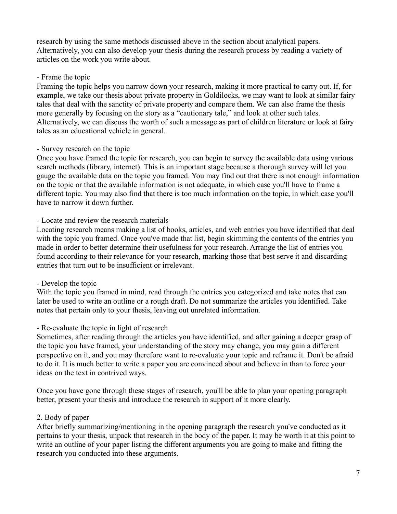research by using the same methods discussed above in the section about analytical papers. Alternatively, you can also develop your thesis during the research process by reading a variety of articles on the work you write about.

#### - Frame the topic

Framing the topic helps you narrow down your research, making it more practical to carry out. If, for example, we take our thesis about private property in Goldilocks, we may want to look at similar fairy tales that deal with the sanctity of private property and compare them. We can also frame the thesis more generally by focusing on the story as a "cautionary tale," and look at other such tales. Alternatively, we can discuss the worth of such a message as part of children literature or look at fairy tales as an educational vehicle in general.

#### - Survey research on the topic

Once you have framed the topic for research, you can begin to survey the available data using various search methods (library, internet). This is an important stage because a thorough survey will let you gauge the available data on the topic you framed. You may find out that there is not enough information on the topic or that the available information is not adequate, in which case you'll have to frame a different topic. You may also find that there is too much information on the topic, in which case you'll have to narrow it down further.

## - Locate and review the research materials

Locating research means making a list of books, articles, and web entries you have identified that deal with the topic you framed. Once you've made that list, begin skimming the contents of the entries you made in order to better determine their usefulness for your research. Arrange the list of entries you found according to their relevance for your research, marking those that best serve it and discarding entries that turn out to be insufficient or irrelevant.

## - Develop the topic

With the topic you framed in mind, read through the entries you categorized and take notes that can later be used to write an outline or a rough draft. Do not summarize the articles you identified. Take notes that pertain only to your thesis, leaving out unrelated information.

## - Re-evaluate the topic in light of research

Sometimes, after reading through the articles you have identified, and after gaining a deeper grasp of the topic you have framed, your understanding of the story may change, you may gain a different perspective on it, and you may therefore want to re-evaluate your topic and reframe it. Don't be afraid to do it. It is much better to write a paper you are convinced about and believe in than to force your ideas on the text in contrived ways.

Once you have gone through these stages of research, you'll be able to plan your opening paragraph better, present your thesis and introduce the research in support of it more clearly.

## 2. Body of paper

After briefly summarizing/mentioning in the opening paragraph the research you've conducted as it pertains to your thesis, unpack that research in the body of the paper. It may be worth it at this point to write an outline of your paper listing the different arguments you are going to make and fitting the research you conducted into these arguments.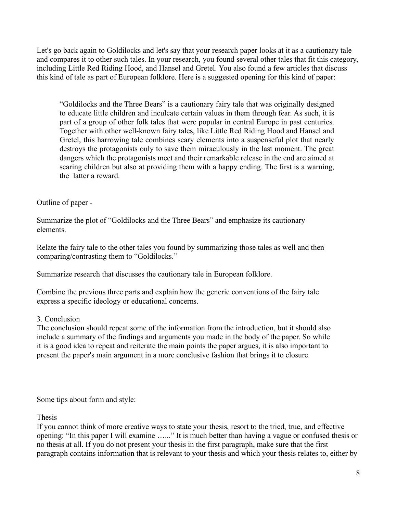Let's go back again to Goldilocks and let's say that your research paper looks at it as a cautionary tale and compares it to other such tales. In your research, you found several other tales that fit this category, including Little Red Riding Hood, and Hansel and Gretel. You also found a few articles that discuss this kind of tale as part of European folklore. Here is a suggested opening for this kind of paper:

"Goldilocks and the Three Bears" is a cautionary fairy tale that was originally designed to educate little children and inculcate certain values in them through fear. As such, it is part of a group of other folk tales that were popular in central Europe in past centuries. Together with other well-known fairy tales, like Little Red Riding Hood and Hansel and Gretel, this harrowing tale combines scary elements into a suspenseful plot that nearly destroys the protagonists only to save them miraculously in the last moment. The great dangers which the protagonists meet and their remarkable release in the end are aimed at scaring children but also at providing them with a happy ending. The first is a warning, the latter a reward.

#### Outline of paper -

Summarize the plot of "Goldilocks and the Three Bears" and emphasize its cautionary elements.

Relate the fairy tale to the other tales you found by summarizing those tales as well and then comparing/contrasting them to "Goldilocks."

Summarize research that discusses the cautionary tale in European folklore.

Combine the previous three parts and explain how the generic conventions of the fairy tale express a specific ideology or educational concerns.

## 3. Conclusion

The conclusion should repeat some of the information from the introduction, but it should also include a summary of the findings and arguments you made in the body of the paper. So while it is a good idea to repeat and reiterate the main points the paper argues, it is also important to present the paper's main argument in a more conclusive fashion that brings it to closure.

Some tips about form and style:

Thesis

If you cannot think of more creative ways to state your thesis, resort to the tried, true, and effective opening: "In this paper I will examine …..." It is much better than having a vague or confused thesis or no thesis at all. If you do not present your thesis in the first paragraph, make sure that the first paragraph contains information that is relevant to your thesis and which your thesis relates to, either by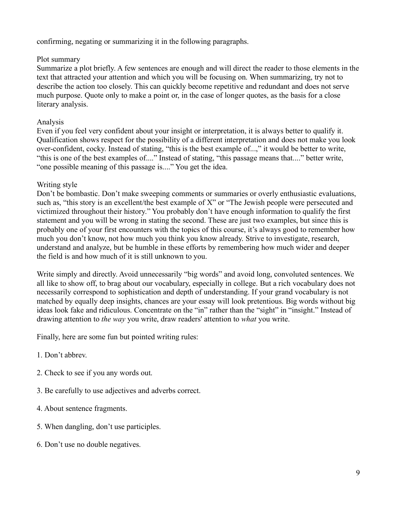confirming, negating or summarizing it in the following paragraphs.

#### Plot summary

Summarize a plot briefly. A few sentences are enough and will direct the reader to those elements in the text that attracted your attention and which you will be focusing on. When summarizing, try not to describe the action too closely. This can quickly become repetitive and redundant and does not serve much purpose. Quote only to make a point or, in the case of longer quotes, as the basis for a close literary analysis.

#### Analysis

Even if you feel very confident about your insight or interpretation, it is always better to qualify it. Qualification shows respect for the possibility of a different interpretation and does not make you look over-confident, cocky. Instead of stating, "this is the best example of...," it would be better to write, "this is one of the best examples of...." Instead of stating, "this passage means that...." better write, "one possible meaning of this passage is...." You get the idea.

#### Writing style

Don't be bombastic. Don't make sweeping comments or summaries or overly enthusiastic evaluations, such as, "this story is an excellent/the best example of X" or "The Jewish people were persecuted and victimized throughout their history." You probably don't have enough information to qualify the first statement and you will be wrong in stating the second. These are just two examples, but since this is probably one of your first encounters with the topics of this course, it's always good to remember how much you don't know, not how much you think you know already. Strive to investigate, research, understand and analyze, but be humble in these efforts by remembering how much wider and deeper the field is and how much of it is still unknown to you.

Write simply and directly. Avoid unnecessarily "big words" and avoid long, convoluted sentences. We all like to show off, to brag about our vocabulary, especially in college. But a rich vocabulary does not necessarily correspond to sophistication and depth of understanding. If your grand vocabulary is not matched by equally deep insights, chances are your essay will look pretentious. Big words without big ideas look fake and ridiculous. Concentrate on the "in" rather than the "sight" in "insight." Instead of drawing attention to *the way* you write, draw readers' attention to *what* you write.

Finally, here are some fun but pointed writing rules:

- 1. Don't abbrev.
- 2. Check to see if you any words out.
- 3. Be carefully to use adjectives and adverbs correct.
- 4. About sentence fragments.
- 5. When dangling, don't use participles.
- 6. Don't use no double negatives.